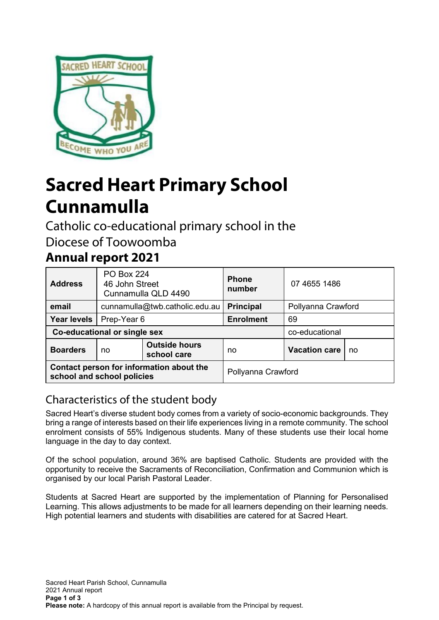

# **Sacred Heart Primary School Cunnamulla**

Catholic co-educational primary school in the

Diocese of Toowoomba

# **Annual report 2021**

| <b>Address</b>                                                         | <b>PO Box 224</b><br>46 John Street<br>Cunnamulla QLD 4490 |                                     | <b>Phone</b><br>number | 07 4655 1486         |    |
|------------------------------------------------------------------------|------------------------------------------------------------|-------------------------------------|------------------------|----------------------|----|
| email                                                                  |                                                            | cunnamulla@twb.catholic.edu.au      | <b>Principal</b>       | Pollyanna Crawford   |    |
| <b>Year levels</b>                                                     | Prep-Year 6                                                |                                     | <b>Enrolment</b>       | 69                   |    |
| Co-educational or single sex                                           |                                                            |                                     |                        | co-educational       |    |
| <b>Boarders</b>                                                        | no                                                         | <b>Outside hours</b><br>school care | no                     | <b>Vacation care</b> | no |
| Contact person for information about the<br>school and school policies |                                                            |                                     | Pollyanna Crawford     |                      |    |

# Characteristics of the student body

Sacred Heart's diverse student body comes from a variety of socio-economic backgrounds. They bring a range of interests based on their life experiences living in a remote community. The school enrolment consists of 55% Indigenous students. Many of these students use their local home language in the day to day context.

Of the school population, around 36% are baptised Catholic. Students are provided with the opportunity to receive the Sacraments of Reconciliation, Confirmation and Communion which is organised by our local Parish Pastoral Leader.

Students at Sacred Heart are supported by the implementation of Planning for Personalised Learning. This allows adjustments to be made for all learners depending on their learning needs. High potential learners and students with disabilities are catered for at Sacred Heart.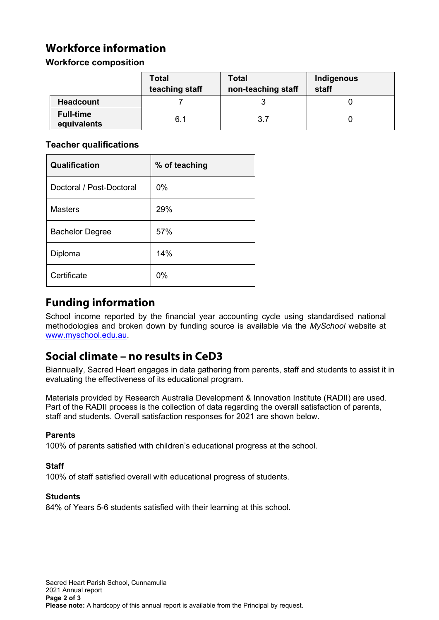# **Workforce information**

#### **Workforce composition**

|                                 | <b>Total</b><br>teaching staff | <b>Total</b><br>non-teaching staff | Indigenous<br>staff |
|---------------------------------|--------------------------------|------------------------------------|---------------------|
| <b>Headcount</b>                |                                |                                    |                     |
| <b>Full-time</b><br>equivalents | 6.1                            | 3.7                                |                     |

#### **Teacher qualifications**

| Qualification            | % of teaching |
|--------------------------|---------------|
| Doctoral / Post-Doctoral | 0%            |
| <b>Masters</b>           | 29%           |
| <b>Bachelor Degree</b>   | 57%           |
| Diploma                  | 14%           |
| Certificate              | 0%            |

# **Funding information**

School income reported by the financial year accounting cycle using standardised national methodologies and broken down by funding source is available via the *MySchool* website at [www.myschool.edu.au.](http://www.myschool.edu.au/)

### **Social climate – no results in CeD3**

Biannually, Sacred Heart engages in data gathering from parents, staff and students to assist it in evaluating the effectiveness of its educational program.

Materials provided by Research Australia Development & Innovation Institute (RADII) are used. Part of the RADII process is the collection of data regarding the overall satisfaction of parents, staff and students. Overall satisfaction responses for 2021 are shown below.

#### **Parents**

100% of parents satisfied with children's educational progress at the school.

#### **Staff**

100% of staff satisfied overall with educational progress of students.

#### **Students**

84% of Years 5-6 students satisfied with their learning at this school.